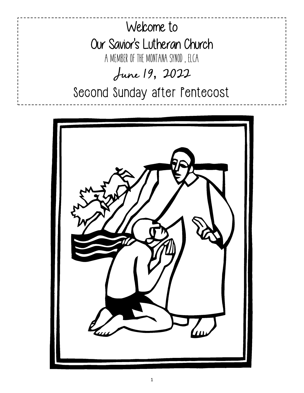

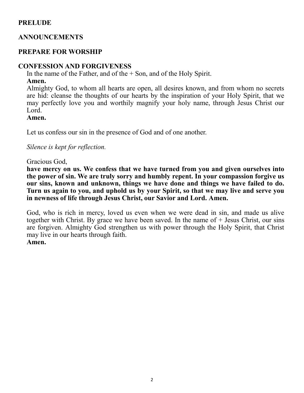# **PRELUDE**

# **ANNOUNCEMENTS**

# **PREPARE FOR WORSHIP**

# **CONFESSION AND FORGIVENESS**

In the name of the Father, and of the  $+$  Son, and of the Holy Spirit.

## **Amen.**

Almighty God, to whom all hearts are open, all desires known, and from whom no secrets are hid: cleanse the thoughts of our hearts by the inspiration of your Holy Spirit, that we may perfectly love you and worthily magnify your holy name, through Jesus Christ our Lord.

## **Amen.**

Let us confess our sin in the presence of God and of one another.

*Silence is kept for reflection.*

## Gracious God,

**have mercy on us. We confess that we have turned from you and given ourselves into the power of sin. We are truly sorry and humbly repent. In your compassion forgive us our sins, known and unknown, things we have done and things we have failed to do. Turn us again to you, and uphold us by your Spirit, so that we may live and serve you in newness of life through Jesus Christ, our Savior and Lord. Amen.**

God, who is rich in mercy, loved us even when we were dead in sin, and made us alive together with Christ. By grace we have been saved. In the name of  $+$  Jesus Christ, our sins are forgiven. Almighty God strengthen us with power through the Holy Spirit, that Christ may live in our hearts through faith. **Amen.**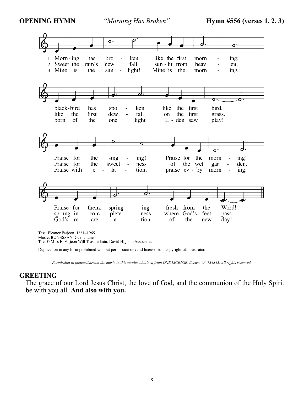

Text © Miss E. Farjeon Will Trust, admin. David Higham Associates

Duplication in any form prohibited without permission or valid license from copyright administrator.

*Permission to podcast/stream the music in this service obtained from ONE LICENSE, license #A-734845. All rights reserved.* 

#### **GREETING**

The grace of our Lord Jesus Christ, the love of God, and the communion of the Holy Spirit be with you all. **And also with you.**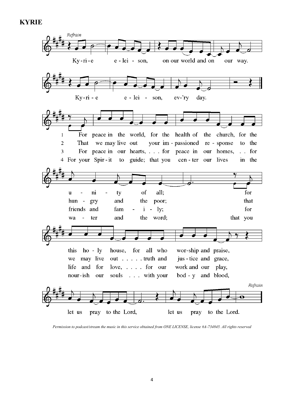# **KYRIE**



*Permission to podcast/stream the music in this service obtained from ONE LICENSE, license #A-734845. All rights reserved*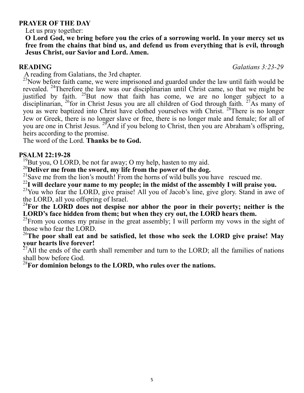## **PRAYER OF THE DAY**

Let us pray together:

**O Lord God, we bring before you the cries of a sorrowing world. In your mercy set us free from the chains that bind us, and defend us from everything that is evil, through Jesus Christ, our Savior and Lord. Amen.** 

**READING** *Galatians 3:23-29*

A reading from Galatians, the 3rd chapter.

 $^{23}$ Now before faith came, we were imprisoned and guarded under the law until faith would be revealed. <sup>24</sup>Therefore the law was our disciplinarian until Christ came, so that we might be justified by faith.  $25$ But now that faith has come, we are no longer subject to a disciplinarian,  $^{26}$  for in Christ Jesus you are all children of God through faith.  $^{27}$ As many of you as were baptized into Christ have clothed yourselves with Christ. <sup>28</sup>There is no longer Jew or Greek, there is no longer slave or free, there is no longer male and female; for all of you are one in Christ Jesus. <sup>29</sup>And if you belong to Christ, then you are Abraham's offspring, heirs according to the promise.

The word of the Lord. **Thanks be to God.**

# **PSALM 22:19-28**

<sup>19</sup>But you, O LORD, be not far away; O my help, hasten to my aid.

<sup>20</sup>**Deliver me from the sword, my life from the power of the dog.**

<sup>21</sup>Save me from the lion's mouth! From the horns of wild bulls you have rescued me.

<sup>22</sup>**I will declare your name to my people; in the midst of the assembly I will praise you.**

<sup>23</sup>You who fear the LORD, give praise! All you of Jacob's line, give glory. Stand in awe of the LORD, all you offspring of Israel.

<sup>24</sup>For the LORD does not despise nor abhor the poor in their poverty; neither is the **LORD's face hidden from them; but when they cry out, the LORD hears them.**

 $^{25}$ From you comes my praise in the great assembly; I will perform my vows in the sight of those who fear the LORD.

<sup>26</sup>**The poor shall eat and be satisfied, let those who seek the LORD give praise! May your hearts live forever!** 

 $^{27}$ All the ends of the earth shall remember and turn to the LORD; all the families of nations shall bow before God.

<sup>28</sup>**For dominion belongs to the LORD, who rules over the nations.**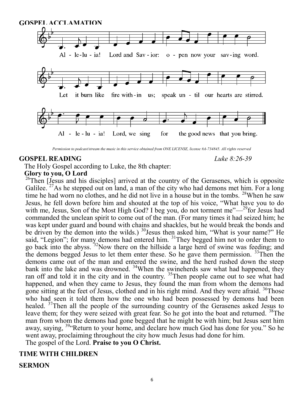![](_page_5_Figure_0.jpeg)

*Permission to podcast/stream the music in this service obtained from ONE LICENSE, license #A-734845. All rights reserved*

#### **GOSPEL READING** *Luke 8:26-39*

The Holy Gospel according to Luke, the 8th chapter:

# **Glory to you, O Lord**

 $26$ Then [Jesus and his disciples] arrived at the country of the Gerasenes, which is opposite Galilee.  $^{27}$ As he stepped out on land, a man of the city who had demons met him. For a long time he had worn no clothes, and he did not live in a house but in the tombs. <sup>28</sup>When he saw Jesus, he fell down before him and shouted at the top of his voice, "What have you to do with me, Jesus, Son of the Most High God? I beg you, do not torment me"—<sup>29</sup>for Jesus had commanded the unclean spirit to come out of the man. (For many times it had seized him; he was kept under guard and bound with chains and shackles, but he would break the bonds and be driven by the demon into the wilds.)  $30$  Jesus then asked him, "What is your name?" He said, "Legion"; for many demons had entered him. <sup>31</sup>They begged him not to order them to go back into the abyss. <sup>32</sup>Now there on the hillside a large herd of swine was feeding; and the demons begged Jesus to let them enter these. So he gave them permission. <sup>33</sup>Then the demons came out of the man and entered the swine, and the herd rushed down the steep bank into the lake and was drowned. <sup>34</sup>When the swineherds saw what had happened, they ran off and told it in the city and in the country. <sup>35</sup>Then people came out to see what had happened, and when they came to Jesus, they found the man from whom the demons had gone sitting at the feet of Jesus, clothed and in his right mind. And they were afraid. <sup>36</sup>Those who had seen it told them how the one who had been possessed by demons had been healed. <sup>37</sup>Then all the people of the surrounding country of the Gerasenes asked Jesus to leave them; for they were seized with great fear. So he got into the boat and returned. <sup>38</sup>The man from whom the demons had gone begged that he might be with him; but Jesus sent him away, saying, <sup>39</sup> Return to your home, and declare how much God has done for you." So he went away, proclaiming throughout the city how much Jesus had done for him.

The gospel of the Lord. **Praise to you O Christ.**

# **TIME WITH CHILDREN**

# **SERMON**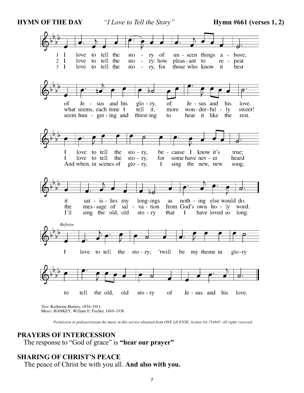**HYMN OF THE DAY** *<i>"I Love to Tell the Story"* **Hymn #661 (verses 1, 2)** 

![](_page_6_Picture_3.jpeg)

 *Permission to podcast/stream the music in this service obtained from ONE LICENSE, license #A-734845. All rights reserved*

#### **PRAYERS OF INTERCESSION**

The response to "God of grace" is **"hear our prayer"**

#### **SHARING OF CHRIST'S PEACE**

The peace of Christ be with you all. **And also with you.**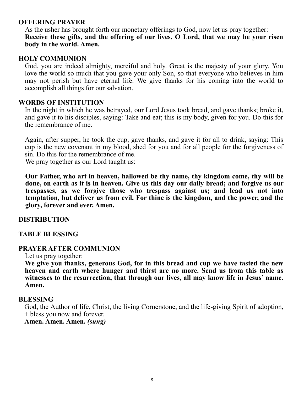# **OFFERING PRAYER**

As the usher has brought forth our monetary offerings to God, now let us pray together: **Receive these gifts, and the offering of our lives, O Lord, that we may be your risen body in the world. Amen.**

#### **HOLY COMMUNION**

God, you are indeed almighty, merciful and holy. Great is the majesty of your glory. You love the world so much that you gave your only Son, so that everyone who believes in him may not perish but have eternal life. We give thanks for his coming into the world to accomplish all things for our salvation.

#### **WORDS OF INSTITUTION**

In the night in which he was betrayed, our Lord Jesus took bread, and gave thanks; broke it, and gave it to his disciples, saying: Take and eat; this is my body, given for you. Do this for the remembrance of me.

Again, after supper, he took the cup, gave thanks, and gave it for all to drink, saying: This cup is the new covenant in my blood, shed for you and for all people for the forgiveness of sin. Do this for the remembrance of me.

We pray together as our Lord taught us:

**Our Father, who art in heaven, hallowed be thy name, thy kingdom come, thy will be done, on earth as it is in heaven. Give us this day our daily bread; and forgive us our trespasses, as we forgive those who trespass against us; and lead us not into temptation, but deliver us from evil. For thine is the kingdom, and the power, and the glory, forever and ever. Amen.**

## **DISTRIBUTION**

## **TABLE BLESSING**

## **PRAYER AFTER COMMUNION**

Let us pray together:

**We give you thanks, generous God, for in this bread and cup we have tasted the new heaven and earth where hunger and thirst are no more. Send us from this table as witnesses to the resurrection, that through our lives, all may know life in Jesus' name. Amen.**

#### **BLESSING**

God, the Author of life, Christ, the living Cornerstone, and the life-giving Spirit of adoption, + bless you now and forever.

**Amen. Amen. Amen.** *(sung)*